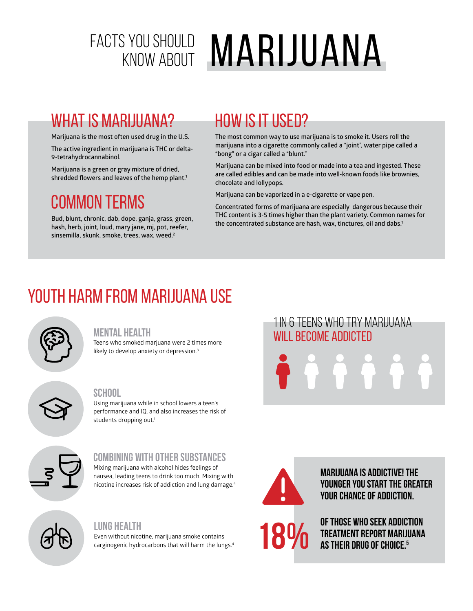# FACTS YOU SHOULD **MARIJUANA**

## WHAT IS MARIJUANA?

**Marijuana is the most often used drug in the U.S.**

**The active ingredient in marijuana is THC or delta-9-tetrahydrocannabinol.** 

**Marijuana is a green or gray mixture of dried, shredded flowers and leaves of the hemp plant.1**

## Common Terms

**Bud, blunt, chronic, dab, dope, ganja, grass, green, hash, herb, joint, loud, mary jane, mj, pot, reefer, sinsemilla, skunk, smoke, trees, wax, weed.2**

## How is it used?

**The most common way to use marijuana is to smoke it. Users roll the marijuana into a cigarette commonly called a "joint", water pipe called a "bong" or a cigar called a "blunt."**

**Marijuana can be mixed into food or made into a tea and ingested. These are called edibles and can be made into well-known foods like brownies, chocolate and lollypops.** 

**Marijuana can be vaporized in a e-cigarette or vape pen.**

**Concentrated forms of marijuana are especially dangerous because their THC content is 3-5 times higher than the plant variety. Common names for the concentrated substance are hash, wax, tinctures, oil and dabs.1**

## Youth Harm from Marijuana Use



#### **Mental Health**

Teens who smoked marjuana were 2 times more likely to develop anxiety or depression.<sup>3</sup>

#### **School**

Using marijuana while in school lowers a teen's performance and IQ, and also increases the risk of students dropping out.<sup>1</sup>



### **Combining with other substances**

Mixing marijuana with alcohol hides feelings of nausea, leading teens to drink too much. Mixing with nicotine increases risk of addiction and lung damage.4

#### **Lung Health**

Even without nicotine, marijuana smoke contains carginogenic hydrocarbons that will harm the lungs.4

## 1 IN 6 TEENS WHO TRY MARIJUANA WILL BECOME ADDICTED



**Marijuana is addictive! The younger you start the greater your chance of addiction.**

**of those who seek addiction treatment report marijuana 18%** OF THOSE WHO SEEK ADDIC<br>TREATMENT REPORT MARIJING AS THEIR DRUG OF CHOICE.<sup>5</sup>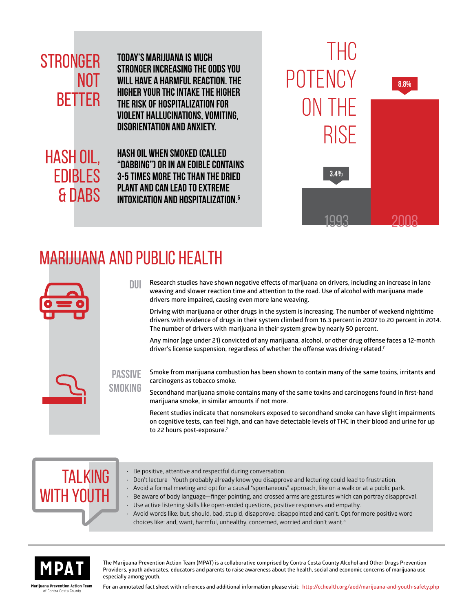## **STRONGER NOT BETTER**

**Today's marijuana is much stronger increasing the odds you will have a harmful reaction. The higher your THC intake the higher the risk of hospitalization for violent hallucinations, vomiting, disorientation and anxiety.**

hash oil, edibles & dabs **Hash Oil when smoked (called "dabbing") or in an edible contains 3-5 times more THC than the dried plant and can lead to extreme intoxication and hospitalization.6**



## Marijuana and Public Health

**passive smoking**



**Research studies have shown negative effects of marijuana on drivers, including an increase in lane weaving and slower reaction time and attention to the road. Use of alcohol with marijuana made drivers more impaired, causing even more lane weaving. dui**

**Driving with marijuana or other drugs in the system is increasing. The number of weekend nighttime drivers with evidence of drugs in their system climbed from 16.3 percent in 2007 to 20 percent in 2014. The number of drivers with marijuana in their system grew by nearly 50 percent.**

**Any minor (age under 21) convicted of any marijuana, alcohol, or other drug offense faces a 12-month driver's license suspension, regardless of whether the offense was driving-related.7**

**Smoke from marijuana combustion has been shown to contain many of the same toxins, irritants and carcinogens as tobacco smoke.**

**Secondhand marijuana smoke contains many of the same toxins and carcinogens found in first-hand marijuana smoke, in similar amounts if not more.**

**Recent studies indicate that nonsmokers exposed to secondhand smoke can have slight impairments on cognitive tests, can feel high, and can have detectable levels of THC in their blood and urine for up to 22 hours post-exposure.7**

# **TALKING** with youth

- Be positive, attentive and respectful during conversation.
- Don't lecture—Youth probably already know you disapprove and lecturing could lead to frustration.
- Avoid a formal meeting and opt for a causal "spontaneous" approach, like on a walk or at a public park.
- Be aware of body language—finger pointing, and crossed arms are gestures which can portray disapproval.
- Use active listening skills like open-ended questions, positive responses and empathy.
- Avoid words like: but, should, bad, stupid, disapprove, disappointed and can't. Opt for more positive word choices like: and, want, harmful, unhealthy, concerned, worried and don't want.8



**MPAT** The Marijuana Prevention Action Team (MPAT) is a collaborative comprised by Contra Costa County Alcohol and Other Drugs Prevention **Providers, youth advocates, educators and parents to raise awareness about the heal Providers, youth advocates, educators and parents to raise awareness about the health, social and economic concerns of marijuana use especially among youth.**

**Marijuana Prevention Action Team**  of Contra Costa County

**For an annotated fact sheet with refrences and additional information please visit: http://cchealth.org/aod/marijuana-and-youth-safety.php**